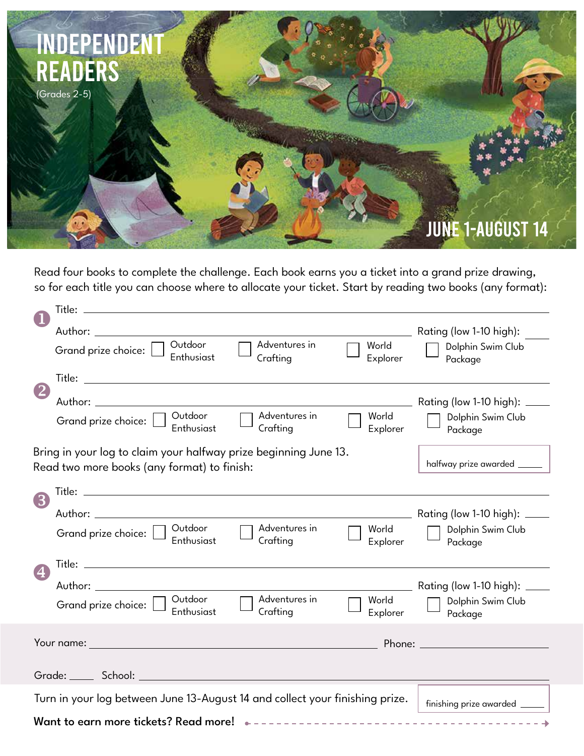

Read four books to complete the challenge. Each book earns you a ticket into a grand prize drawing, so for each title you can choose where to allocate your ticket. Start by reading two books (any format):

|    |                                                                                                                 | Rating (low 1-10 high):      |  |  |  |  |
|----|-----------------------------------------------------------------------------------------------------------------|------------------------------|--|--|--|--|
|    | Outdoor<br>Adventures in<br>World<br>Grand prize choice:<br>Enthusiast<br>Explorer<br>Crafting                  | Dolphin Swim Club<br>Package |  |  |  |  |
|    |                                                                                                                 |                              |  |  |  |  |
|    |                                                                                                                 |                              |  |  |  |  |
|    | Outdoor<br>Adventures in<br>World<br>Grand prize choice:  <br>Crafting<br>Enthusiast<br>Explorer                | Dolphin Swim Club<br>Package |  |  |  |  |
|    | Bring in your log to claim your halfway prize beginning June 13.<br>Read two more books (any format) to finish: | halfway prize awarded _____  |  |  |  |  |
|    |                                                                                                                 |                              |  |  |  |  |
| (3 |                                                                                                                 | Rating (low 1-10 high): _    |  |  |  |  |
|    | Outdoor<br>Adventures in<br>World<br>Grand prize choice:<br>Crafting<br>Enthusiast<br>Explorer                  | Dolphin Swim Club<br>Package |  |  |  |  |
|    |                                                                                                                 |                              |  |  |  |  |
|    |                                                                                                                 |                              |  |  |  |  |
|    | Outdoor<br>Adventures in<br>World<br>Grand prize choice:<br>Enthusiast<br>Crafting<br>Explorer                  | Dolphin Swim Club<br>Package |  |  |  |  |
|    |                                                                                                                 |                              |  |  |  |  |
|    |                                                                                                                 |                              |  |  |  |  |
|    | Turn in your log between June 13-August 14 and collect your finishing prize.                                    | finishing prize awarded ____ |  |  |  |  |
|    |                                                                                                                 |                              |  |  |  |  |